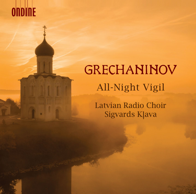

# GRECHANINOV All-Night Vigil

Latvian Radio Choir Sigvards Klava

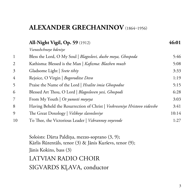# **ALEXANDER GRECHANINOV** (1864–1956)

|    | All-Night Vigil, Op. 59 (1912)                                            | 46:01 |
|----|---------------------------------------------------------------------------|-------|
|    | Vsenoshchnoye bdeniye                                                     |       |
| 1  | Bless the Lord, O My Soul   Blagoslovi, dushe moya, Ghospoda              | 5:46  |
| 2  | Kathisma: Blessed is the Man   Kafizma: Blazhen muzh                      | 5:08  |
| 3  | Gladsome Light   Svete tihiy                                              | 3:33  |
| 4  | Rejoice, O Virgin   Bogoroditse Devo                                      | 1:19  |
| 5  | Praise the Name of the Lord   Hvalite imia Ghospodne                      | 5:15  |
| 6  | Blessed Art Thou, O Lord   Blagosloven yesi, Ghospodi                     | 6:28  |
| 7  | From My Youth   Ot yunosti moyeya                                         | 3:03  |
| 8  | Having Beheld the Resurrection of Christ   Voskreseniye Hristovo videvshe | 3:41  |
| 9  | The Great Doxology   Velikoye slavosloviye                                | 10:14 |
| 10 | To Thee, the Victorious Leader   Vzbrannoy voyevode                       | 1:27  |

Soloists: Dārta Paldiņa, mezzo-soprano (3, 9); Kārlis Rūtentāls, tenor (3) & Jānis Kurševs, tenor (9); Jānis Kokins, bass (3)

# LATVIAN RADIO CHOIR SIGVARDS KĻAVA, conductor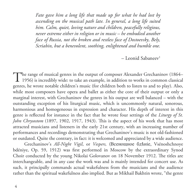*Fate gave him a long life that made up for what he had lost by ascending on the musical path late. In general, a long life suited him. Calm, quiet, loving nature and children, peacefully religious, never extreme either in religion or in music – he embodied another face of Russia, not the broken and restless face of Dostoevsky, Bely, Scriabin, but a benevolent, soothing, enlightened and humble one.* 

– Leonid Sabaneev1

The range of musical genres in the output of composer Alexander Grechaninov (1864–<br>1956) is incredibly wide: to take an example, in addition to works in common classical<br>sense and the plays and the plays of the plays and t genres, he wrote notable children's music (for children both to listen to and to play). Also, while most composers have opera and ballet as either the core of their output or only a marginal interest, with Grechaninov the genres in his output are well balanced – with the outstanding exception of his liturgical music, which is uncommonly natural, sonorous, harmonious and homogeneous in expression and character. His depth of interest in this genre is reflected for instance in the fact that he wrote four settings of the *Liturgy of St. John Chrysostom* (1897, 1902, 1917, 1943). This is the aspect of his work that has most attracted musicians and listeners in the early 21st century, with an increasing number of performances and recordings demonstrating that Grechaninov's music is not old-fashioned or outdated. Quite the contrary, in fact: it is welcomed and appreciated by a wide audience.

Grechaninov's *All-Night Vigil*, or *Vespers,* (Всенощное бдѣніе, Vsénoshchnoye bdéniye, Op. 59, 1912) was first performed in Moscow by the extraordinary Synod Choir conducted by the young Nikolai Golovanov on 18 November 1912. The titles are interchangeable, and in any case the work was and is mainly intended for concert use. As such, it principally commands actual wakefulness from the musicians and the audience rather than the spiritual wakefulness also implied. But as Mikhail Bakhtin wrote, "the genre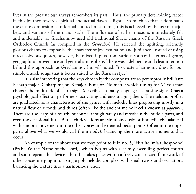lives in the present but always remembers its past". Thus, the primary determining factor in this journey towards spiritual and actual dawn is light – so much so that it dominates the entire composition. In formal and technical terms, this is achieved by the use of major keys and variants of the major scale. The influence of earlier music is immediately felt and undeniable, as Grechaninov used old traditional Slavic chants of the Russian Greek Orthodox Church (as compiled in the *Octoechos*). He selected the uplifting, solemnly glorious chants to emphasise the character of joy, exultation and jubilance. Instead of using direct, obvious quotes, however, he mixed inputs from various sources in terms of genre, geographical provenance and general atmosphere. There was a deliberate and clear intention behind this approach, as Grechaninov himself noted: "to create a harmonic dress for our simple church songs that is better suited to the Russian style".

It is also interesting that the keys chosen by the composer are so peremptorily brilliant: F sharp major, C sharp major, B major, E major. No matter which tuning for A4 you may choose, the multitude of sharp signs (described in many languages as 'raising signs'!) has a psychological effect on performers, activating and encouraging them. The melodic profiles are graduated, as is characteristic of the genre, with melodic lines progressing mostly in a natural flow of seconds and thirds (often like the ancient melodic cells known as *popevki*). There are also leaps of a fourth, of course, though rarely and mostly in the middle parts, and even the occasional fifth. But such deviations are simultaneously or immediately balanced with smooth movement in the other voices and extended pedal points (often in the upper parts, above what we would call the melody), balancing the more active moments that occur.

An example of the above that we may point to is in no. 5, 'Hvalite imia Ghospodne' (Praise Ye the Name of the Lord), which begins with a calmly ascending perfect fourth and soon repeats this device – but this takes place within a freely constructed framework of other voices merging into a single polymelodic complex, with small twists and oscillations balancing the texture into a harmonious whole.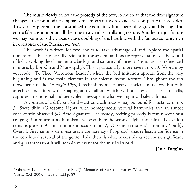The music closely follows the prosody of the text, so much so that the time signature changes to accommodate emphases on important words and even on particular syllables. This variety prevents the constrained melodic lines from becoming grey and boring. The entire fabric is in motion all the time in a vivid, scintillating texture. Another major feature we may point to is the classic octave doubling of the bass line with the famous sonority rich in overtones of the Russian *oktavist*.

The work is written for two choirs to take advantage of and explore the spatial dimension. This is especially evident in the solemn and poetic representation of the sound of bells, evoking the characteristic background sonority of ancient Russia (as also referenced in music by Borodin and Mussorgsky). This is particularly impressive in no. 10, 'Vzbrannoy voyevode' (To Thee, Victorious Leader), where the bell imitation appears from the very beginning and is the main element in the solemn hymn texture. Throughout the ten movements of the *All-Night Vigil,* Grechaninov makes use of ancient influences, but only as echoes and hints, while shaping an overall arc which, without any sharp peaks or falls, captures an emotional and benevolent message in what we might call silent drama.

A contrast of a different kind – extreme calmness – may be found for instance in no. 3, 'Svete tihiy' (Gladsome Light), with homogeneous vertical harmonies and an almost consistently observed 3/2 time signature. The steady, reciting prosody is reminiscent of a congregation murmuring in unison, yet even here the sense of light and spiritual elevation remains present. A similar moment occurs in no. 7, 'Ot yunosti moyeya' (From my Youth). Overall, Grechaninov demonstrates a consistency of approach that reflects a confidence in the continued survival of the genre. This, then, is what makes his sacred music significant and guarantees that it will remain relevant for the musical world.

# **Jānis Torgāns**

1 Sabaneev, Leonid Vospominanija o Rossiji [Memories of Russia]. – Moskva/Moscow: Classic-XXI, 2005. – [268 p., Ill.] p. 89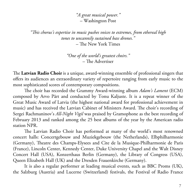*"A great musical power."* – Washington Post

*"This chorus's expertise in music pushes voices to extremes, from ethereal high tones to uncannily sustained bass drones."* – The New York Times

> *"One of the world's greatest choirs."* – The Advertiser

The **Latvian Radio Choir** is a unique, award-winning ensemble of professional singers that offers its audiences an extraordinary variety of repertoire ranging from early music to the most sophisticated scores of contemporary compositions.

The choir has recorded the Grammy Award-winning album *Adam's Lament* (ECM) composed by Arvo Pärt and conducted by Tonu Kaljuste. It is a repeat winner of the Great Music Award of Latvia (the highest national award for professional achievement in music) and has received the Latvian Cabinet of Ministers Award. The choir's recording of Sergei Rachmaninov's *All-Night Vigil* was praised by Gramophone as the best recording of February 2013 and ranked among the 25 best albums of the year by the American radio station NPR.

The Latvian Radio Choir has performed at many of the world's most renowned concert halls: Concertgebouw and Muziekgebouw (the Netherlands), Elbphilharmonie (Germany), Theatre des Champs-Elysees and Cite de la Musique-Philharmonie de Paris (France), Lincoln Center, Kennedy Center, Duke University Chapel and the Walt Disney Concert Hall (USA), Konzerthaus Berlin (Germany), the Library of Congress (USA), Queen Elizabeth Hall (UK) and the Dresden Frauenkirche (Germany).

It is also a regular performer at leading musical events, such as BBC Proms (UK), the Salzburg (Austria) and Lucerne (Switzerland) festivals, the Festival of Radio France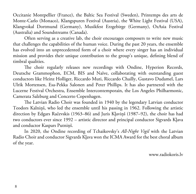Occitanie Montpellier (France), the Baltic Sea Festival (Sweden), Printemps des arts de Monte-Carlo (Monaco), Klangspuren Festival (Austria), the White Light Festival (USA), Klangvokal Dortmund (Germany), Musikfest Erzgebirge (Germany), OzAsia Festival (Australia) and Soundstreams (Canada).

Often serving as a creative lab, the choir encourages composers to write new music that challenges the capabilities of the human voice. During the past 20 years, the ensemble has evolved into an unprecedented form of a choir where every singer has an individual mission and provides their unique contribution to the group's unique, defining blend of timbral qualities.

The choir regularly releases new recordings with Ondine, Hyperion Records, Deutsche Grammophon, ECM, BIS and Naïve, collaborating with outstanding guest conductors like Heinz Holliger, Riccardo Muti, Riccardo Chailly, Gustavo Dudamel, Lars Ulrik Mortensen, Esa-Pekka Salonen and Peter Phillips. It has also partnered with the Lucerne Festival Orchestra, Ensemble Intercontemporain, the Los Angeles Philharmonic, Camerata Salzburg and Concerto Copenhagen.

The Latvian Radio Choir was founded in 1940 by the legendary Latvian conductor Teodors Kalniņš, who led the ensemble until his passing in 1962. Following the artistic direction by Edgars Račevskis (1963–86) and Juris Kļaviņš (1987–92), the choir has had two conductors ever since 1992 – artistic director and principal conductor Sigvards Kļava and conductor Kaspars Putniņš.

In 2020, the Ondine recording of Tchaikovsky's *All-Night Vigil* with the Latvian Radio Choir and conductor Sigvards Kļava won the ICMA Award for the best choral album of the year.

www.radiokoris.lv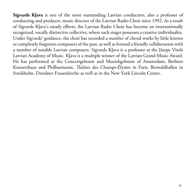**Sigvards Kļava** is one of the most outstanding Latvian conductors, also a professor of conducting and producer, music director of the Latvian Radio Choir since 1992. As a result of Sigvards Kļava's steady efforts, the Latvian Radio Choir has become an internationally recognized, vocally distinctive collective, where each singer possesses a creative individuality. Under Sigvards' guidance, the choir has recorded a number of choral works by little known or completely forgotten composers of the past, as well as formed a friendly collaboration with a number of notable Latvian composers. Sigvards Kļava is a professor at the Jāzeps Vītols Latvian Academy of Music. Kļava is a multiple winner of the Latvian Grand Music Award. He has performed at the Concertgebouw and Muziekgebouw of Amsterdam, Berliner Konzerthaus and Philharmonie, Théâtre des Champs-Élysées in Paris, Berwaldhallen in Stockholm, Dresdner Frauenkirche as well as in the New York Lincoln Centre.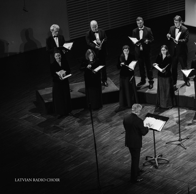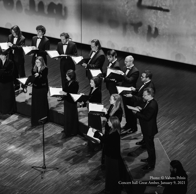Photo: © Valters Pelnis Concert hall Great Amber, January 9, 2021

 $-113.$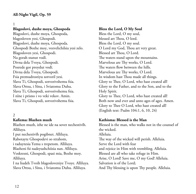# 1

# **Blagoslovi, dushe moya, Ghospoda**

Blagoslovi, dushe moya, Ghospoda, blagosloven yesi, Ghospodi. Blagoslovi, dushe moya, Ghospoda. Ghospodi Bozhe moy, vozvelichilsia yesi zelo. Blagosloven yesi, Ghospodi. Na gorah stanut vodï. Divna dela Tvoya, Ghospodi. Posrede gor proydut vodï. Divna dela Tvoya, Ghospodi. Fsia premudrostiyu sotvoril yesi. Slava Ti, Ghospodi, sotvorivshemu fsia. Slava Ottsu, i Sïnu, i Sviatomu Duhu. Slava Ti, Ghospodi, sotvorivshemu fsia. I nïne i prisno i vo veki vekov. Amin. Slava Ti, Ghospodi, sotvorivshemu fsia.

# $\overline{\mathcal{L}}$

### **Kafizma: Blazhen muzh**

Blazhen muzh, izhe ne ide na sovet nechestivïh. Alliluya.

I put nechestivïh pogibnet. Alliluya. Rabotayte Ghospodevi so strahom, i raduytesia Yemu s trepetom. Alliluya. Blazheni fsi nadeyushchiisia nan. Alliluya. Voskresni, Ghospodi, spasi mia, Bozhe moy. Alliluya.

I na liudeh Tvoih blagosloveniye Tvoye. Alliluya. Slava Ottsu, i Sïnu, i Sviatomu Duhu. Alliluya.

# **Bless the Lord, O My Soul** Bless the Lord, O my soul, blessed art Thou, O lord. Bless the Lord, O my soul. O Lord my God, Thou art very great. Blessed art Thou, O Lord. The waters stand upon the mountains. Marvelous are Thy works, O Lord. The waters flow between the hills. Marvelous are Thy works, O Lord. In wisdom hast Thou made all things. Glory to Thee, O Lord, who hast created all! Glory to the Father, and to the Son, and to the Holy Spirit. Glory to Thee, O Lord, who hast created all! Both now and ever and unto ages of ages. Amen. Glory to Thee O Lord, who hast created all! (English text: Psalm 104:1, 6, 10, 24)

# **Kathisma: Blessed is the Man**

Blessed is the man, who walks not in the counsel of the wicked. Alleluia. The way of the wicked will perish. Alleluia. Serve the Lord with fear and rejoice in Him with trembling. Alleluia. Blessed are all who take refuge in Him. Arise, O Lord! Save me, O my God! Alleluia. Salvation is of the Lord; And Thy blessing is upon Thy people. Alleluia.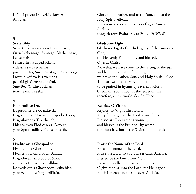I nïne i prisno i vo veki vekov. Amin. Alliluya.

## 3 **Svete tihiy**

Svete tihiy sviatïya slavï Bessmertnago, Ottsa Nebesnago, Sviatago, Blazhennago, Iisuse Hriste. Prishedshe na zapad solntsa, videvshe svet vecherniy, poyem Ottsa, Sïna i Sviatago Duha, Boga. Dostoin yesi vo fsia vremena pet bïti glasï prepodobnïmi, Sïne Bozhïy, zhïvot dayay, temzhe mir Tia slavit.

# 4

# **Bogoroditse Devo**

Bogoroditse Devo, raduysia, Blagodatnaya Mariye, Ghospod s Toboyu. Blagoslovenna Tï v zhenah, i blagosloven Plod chreva Tvoyego, yako Spasa rodila yesi dush nashïh.

#### 5

# **Hvalite imia Ghospodne**

Hvalite imia Ghospodne. Hvalite, rabi Ghospoda. Alliluia. Blagosloven Ghospod ot Siona, zhïvïy vo Iyerusalime. Alliluia. Ispovedaytesia Ghospodevi, yako blag, yako vek milost Yego. Alliluia.

Glory to the Father, and to the Son, and to the Holy Spirit. Alleluia. Both now and ever unto ages of ages. Amen. Alleluia. (English text: Psalm 1:1, 6; 2:11, 12; 3:7, 8)

# **Gladsome Light**

Gladsome Light of the holy glory of the Immortal One, the Heavenly Father, holy and blessed, O Jesus Christ! Now that we have come to the setting of the sun, and behold the light of evening, we praise the Father, Son, and Holy Spirit – God. Thou art worthy at every moment to be praised in hymns by reverent voices. O Son of God, Thou art the Giver of Life; therefore, all the world glorifies Thee.

# **Rejoice, O Virgin**

Rejoice, O Virgin Theotokos, Mary full of grace, the Lord is with Thee. Blessed art Thou among women, and blessed is the Fruit of Thy womb, for Thou hast borne the Saviour of our souls.

# **Praise the Name of the Lord**

Praise the name of the Lord. Praise the Lord, O you His servants. Alleluia. Blessed be the Lord from Zion, He who dwells in Jerusalem. Alleluia. O give thanks unto the Lord, for He is good, For His mercy endures forever. Alleluia.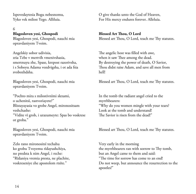Ispovedaytesia Bogu nebesnomu, Yyko vek milost Yego. Alliluia.

# 6

# **Blagosloven yesi, Ghospodi**

Blagosloven yesi, Ghospodi, nauchi mia opravdaniyem Tvoim.

Angelskiy sobor udivisia, zria Tebe v mertvïh vmenivshasia, smertnuyu zhe, Spase, krepost razorivsha, i s Soboyu Adama vozdvigsha, i ot ada fsia svobozhdsha.

Blagosloven yesi, Ghospodi, nauchi mia opravdaniyem Tvoim.

"Pochto mira s milostivnïmi slezami, o uchenitsï, rastvoriayete?" Blistayayasia vo grobe Angel, mironositsam veshchashe: "Vidite vï grob, i urazumeyte: Spas bo voskrese ot groba."

Blagosloven yesi, Ghospodi, nauchi mia opravdaniyem Tvoim.

Zelo rano mironositsï techahu ko grobu Tvoyemu rïdayushchiya, no predsta k nim Angel, i reche: "Rïdaniya vremia presta, ne plachite, voskreseniye zhe apostolom rtsïte."

O give thanks unto the God of Heaven, For His mercy endures forever. Alleluia.

# **Blessed Art Thou, O Lord**

Blessed art Thou, O Lord, teach me Thy statutes.

The angelic host was filled with awe, when it saw Thee among the dead. By destroying the power of death, O Savior, Thou didst raise Adam, and save all men from hell!

Blessed art Thou, O Lord, teach me Thy statutes.

In the tomb the radiant angel cried to the myrrhbearers: "Why do you women mingle with your tears? Look at the tomb and understand! The Savior is risen from the dead!"

Blessed art Thou, O Lord, teach me Thy statutes.

Very early in the morning the myrrhbearers ran with sorrow to Thy tomb, but an Angel came to them and said: "The time for sorrow has come to an end! Do not weep, but announce the resurrection to the apostles!"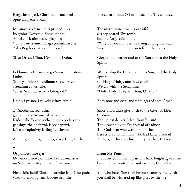Blagosloven yesi, Ghospodi, nauchi mia opravdaniyem Tvoim.

Mironositsï zhenï s mirï prishedshïya ko grobu Tvoyemu, Spase, rïdahu. Angel zhe k nim reche, glagolia: "Chto s mertvïmi zhïvago pomïshliayete? Yako Bog bo voskrese ot groba!"

Slava Ottsu, i Sïnu, i Sviatomu Duhu.

Poklonimsia Ottsu, i Yego Sïnovi, i Sviatomu Duhu, Sviatey Troitse vo yedinom sushchestve s Serafimï zovushche: "Sviat, Sviat, Sviat, yesi Ghospodi!"

I nïne, i prisno, i vo veki vekov. Amin.

Zhïznodavtsa rozhdshï, greha, Devo, Adama izbavila yesi. Radost zhe Yeve v pechali mesto podala yesi; padshïya zhe ot zhïzni, k sey napravi, iz Tebe voplotivïysia Bog i chelovek.

Alliluiya, alliluiya, alliluiya, slava Tebe, Bozhe!

# 7

# **Ot yunosti moyeya**

Ot yunosti moyeya mnozi boriut mia strasti: no Sam mia zastupi i spasi, Spase moy.

Nenavidiashchii Siona, posramitesia ot Ghospoda: yako trava bo ognem, budete izsohshe.

Blessed art Thou, O Lord, teach me Thy statutes.

The myrrhbearers were sorrowful as they neared Thy tomb, but the Angel said to them: "Why do you number the living among the dead? Since He is God, He is risen from the tomb!"

Glory to the Father and to the Son and to the Holy Spirit.

We worship the Father, and His Son, and the Holy Spirit: the Holy Trinity, one in essence! We cry with the Seraphim: "Holy, Holy, Holy art Thou, O Lord!"

Both now and ever, and unto ages of ages. Amen.

Since Thou didst give birth to the Giver of Life, O Virgin, Thou didst deliver Adam from his sin! Thou gavest joy to Eve instead of sadness! The God-man who was born of Thee has restored to life those who had fallen from it! Alleluia, alleluia, alleluia! Glory to Thee, O God

# **From My Youth**

From my youth many passions have fought against me; but do Thou protect me and save me, O my Saviour.

You who hate Zion shall be put shame by the Lord; you shall be withered up like grass by the fire.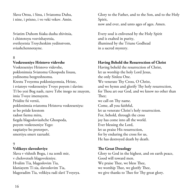Slava Ottsu, i Sinu, i Sviatomu Duhu, i nine, i prisno, i vo veki vekov. Amin.

Sviatim Duhom fsiaka dusha zhivitsia, i chistotoyu vozvishayetsia, svetleyetsia Troycheskim yedinstvom, sviashchennotayne.

# 8

# **Voskreseniye Hristovo videvshe**

Voskreseniye Hristovo videvshe, poklonimsia Sviatomu Ghospodu Iisusu, yedinomu bezgreshnomu. Krestu Tvoyemu pokloniayemsia, Hriste, i sviatoye voskreseniye Tvoye poyem i slavim: Tï bo yesi Bog nash, razve Tebe inogo ne znayem, imia Tvoye imenuyem. Priidite fsi vernii, poklonimsia sviatomu Hristovu voskreseniyu: se bo priide krestom radost fsemu miru, fsegda blagosloviashche Ghospoda, poyem voskreseniye Yego: raspiatiye bo preterpev, smertiyu smert razrushï.

#### 9

### **Velikoye slavosloviye**

Slava v vïshnih Bogu, i na zemli mir, v chelovetseh blagovoleniye. Hvalim Tia, blagoslovim Tia, klaniayem Ti sia, slavoslovim Tia, blagoradim Tia, velikiya radi slavï Tvoyeya. Glory to the Father, and to the Son, and to the Holy Spirit, now and ever, and unto ages of ages. Amen.

Every soul is enlivened by the Holy Spirit and is exalted in purity, illumined by the Triune Godhead in a sacred mystery.

# **Having Beheld the Resurrection of Christ**

Having beheld the resurrection of Christ, let us worship the holy Lord Jesus, the only Sinless One. We venerate Thy Cross, O Christ, and we hymn and glorify Thy holy resurrection, for Thou art our God, and we know no other than Thee; we call on Thy name. Come, all you faithful, let us venerate Christ's holy resurrection. For, behold, through the cross joy has come into all the world. Ever blessing the Lord, let us praise His resurrection, for by enduring the cross for us, He has destroyed death by death.

# **The Great Doxology**

Glory to God in the highest, and on earth peace, Good will toward men. We praise Thee, we bless Thee, we worship Thee, we glorify Thee, we give thanks to Thee for Thy great glory.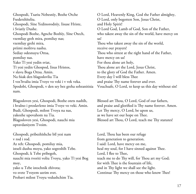Ghospodi, Tsariu Nebesnïy, Bozhe Otche Fsederzhïteliu. Ghospodi, Sïne Yedinorodnïy, Iisuse Hriste, i Sviatïy Dushe. Ghospodi Bozhe, Agnche Bozhïy, Sïne Otech, vzemliay greh mira, pomiluy nas; vzemliay grehi mira, priimi molitvu nashu. Sediay odesnuyu Ottsa, pomiluy nas. Yako Tï yesi yedin sviat, Tï yesi yedin Ghospod, Iisus Hristos, v slavu Boga Ottsa. Amin. Na fsiak den blagoslovliu Tia I vos'hvaliu imia Tvoye vo veki i v vek veka. Spodobi, Ghospodi, v den sey bez greha sohranitisia nam.

Blagosloven yesi, Ghospodi, Bozhe otets nashïh, i hvalno i proslavleno imia Tvoye vo veki. Amin. Budi, Ghospodi, milost Tvoya na nas, yakozhe upovahom na Tia. Blagosloven yesi, Ghospodi, nauchi mia opravdaniyem Tvoim.

Ghospodi, pribezhïshche bïl yesi nam v rod i rod. Az reh: Ghospodi, pomiluy mia, istseli dushu moyu, yako sogreshïh Tebe. Ghospodi, k Tebe pribegoh, nauchi mia tvoriti voliu Tvoyu, yako Tï yesi Bog moy, yako u Tebe istochnik zhïvota; vo svete Tvoyem uzrim svet. Probavi milost Tvoyu vedushchim Tia.

O Lord, Heavenly King, God the Father almighty, O Lord, only begotten Son, Jesus Christ, and Holy Spirit! O Lord God, Lamb of God, Son of the Father, who takest away the sin of the world, have mercy on us! Thou who takest away the sin of the world, receive our prayers! Thou who sittest at the right hand of the Father, have mercy on us! For thou alone art holy, Thou alone art the Lord, Jesus Christ, to the glory of God the Father. Amen. Every day I will bless Thee and praise Thy name forever and ever. Vouchsafe, O Lord, to keep us this day without sin!

Blessed art Thou, O Lord, God of our fathers, and praise and glorified is Thy name forever. Amen. Let Thy mercy, O Lord, be upon us, as we have set our hope on Thee. Blessed art Thou, O Lord, teach me Thy statutes!

Lord, Thou has been our refuge from generation to generation. I said: Lord, have mercy on me, heal my soul, for I have sinned against Thee. Lord, I flee to Thee, teach me to do Thy will, for Thou art my God; for with Thee is the fountain of life, and in Thy light we shall see the light. Continue Thy mercy on those who know Thee!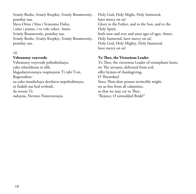Sviatïy Bozhe, Sviatïy Krepkiy, Sviatïy Bessmertnïy, pomiluy nas. Slava Ottsu i Sïnu i Sviatomu Duhu, i nïne i prisno, i vo veki vekov. Amin. Sviatïy Bessmertnïy, pomiluy nas. Sviatïy Bozhe, Sviatïy Krepkiy, Sviatïy Bessmertnïy, pomiluy nas.

# 10

# **Vzbrannoy voyevode**

Vzbrannoy voyevode pobeditelnaya, yako izbavlshesia ot zlïh, blagodarstvennaya vospisuyem Ti rabi Tvoi, Bogoroditse: na yako imushchaya derzhavu nepobedimuyu, ot fsiakih nas bed svobodi, da zovem Ti: raduysia, Nevesto Nenevestnaya.

Holy God, Holy Might, Holy Immortal, have mercy on us! Glory to the Father, and to the Son, and to the Holy Spirit, both now and ever and unto ages of ages. Amen. Holy Immortal, have mercy on us! Holy God, Holy Mighty, Holy Immortal, have mercy on us!

#### **To Thee, the Victorious Leader**

To Thee, the victorious Leader of triumphant hosts, we Thy servants, delivered from evil, offer hymns of thanksgiving, O Theotokos! Since Thou dost possess invincible might, set us free from all calamities, so that we may cry to Thee: "Rejoice, O unwedded Bride!"